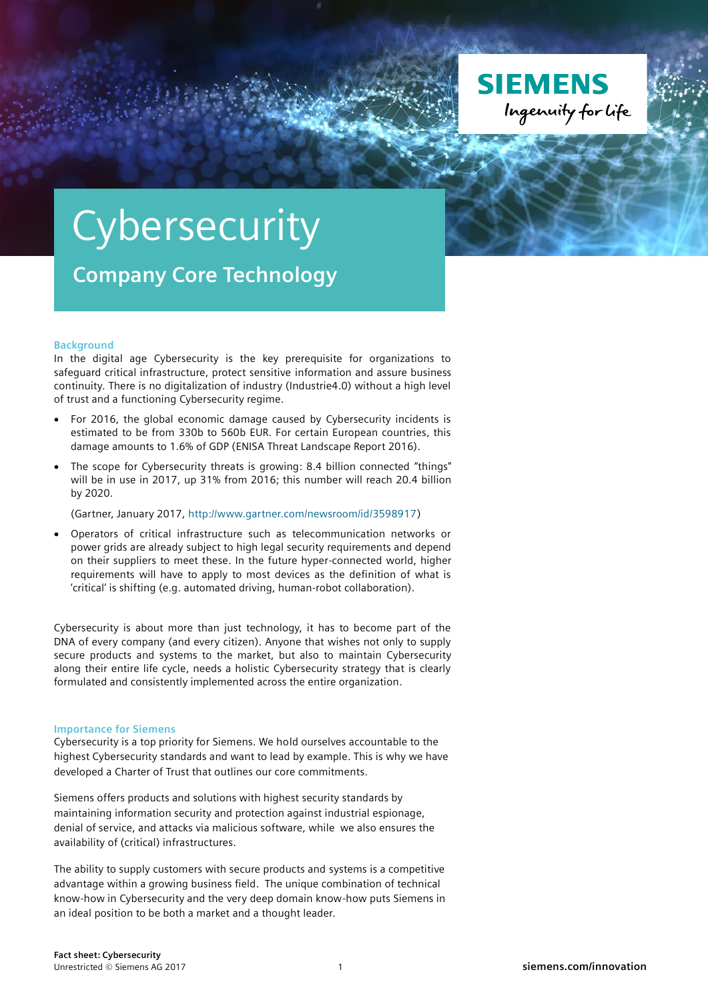

## **Cybersecurity**

**Company Core Technology**

## **Background**

In the digital age Cybersecurity is the key prerequisite for organizations to safeguard critical infrastructure, protect sensitive information and assure business continuity. There is no digitalization of industry (Industrie4.0) without a high level of trust and a functioning Cybersecurity regime.

- For 2016, the global economic damage caused by Cybersecurity incidents is estimated to be from 330b to 560b EUR. For certain European countries, this damage amounts to 1.6% of GDP (ENISA Threat Landscape Report 2016).
- The scope for Cybersecurity threats is growing: 8.4 billion connected "things" will be in use in 2017, up 31% from 2016; this number will reach 20.4 billion by 2020.

(Gartner, January 2017, [http://www.gartner.com/newsroom/id/3598917\)](http://www.gartner.com/newsroom/id/3598917)

 Operators of critical infrastructure such as telecommunication networks or power grids are already subject to high legal security requirements and depend on their suppliers to meet these. In the future hyper-connected world, higher requirements will have to apply to most devices as the definition of what is 'critical' is shifting (e.g. automated driving, human-robot collaboration).

Cybersecurity is about more than just technology, it has to become part of the DNA of every company (and every citizen). Anyone that wishes not only to supply secure products and systems to the market, but also to maintain Cybersecurity along their entire life cycle, needs a holistic Cybersecurity strategy that is clearly formulated and consistently implemented across the entire organization.

## **Importance for Siemens**

Cybersecurity is a top priority for Siemens. We hold ourselves accountable to the highest Cybersecurity standards and want to lead by example. This is why we have developed a Charter of Trust that outlines our core commitments.

Siemens offers products and solutions with highest security standards by maintaining information security and protection against industrial espionage, denial of service, and attacks via malicious software, while we also ensures the availability of (critical) infrastructures.

The ability to supply customers with secure products and systems is a competitive advantage within a growing business field. The unique combination of technical know-how in Cybersecurity and the very deep domain know-how puts Siemens in an ideal position to be both a market and a thought leader.